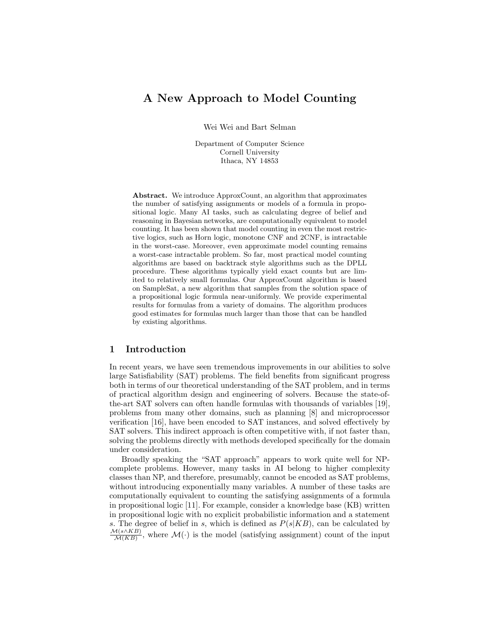# **A New Approach to Model Counting**

Wei Wei and Bart Selman

Department of Computer Science Cornell University Ithaca, NY 14853

**Abstract.** We introduce ApproxCount, an algorithm that approximates the number of satisfying assignments or models of a formula in propositional logic. Many AI tasks, such as calculating degree of belief and reasoning in Bayesian networks, are computationally equivalent to model counting. It has been shown that model counting in even the most restrictive logics, such as Horn logic, monotone CNF and 2CNF, is intractable in the worst-case. Moreover, even approximate model counting remains a worst-case intractable problem. So far, most practical model counting algorithms are based on backtrack style algorithms such as the DPLL procedure. These algorithms typically yield exact counts but are limited to relatively small formulas. Our ApproxCount algorithm is based on SampleSat, a new algorithm that samples from the solution space of a propositional logic formula near-uniformly. We provide experimental results for formulas from a variety of domains. The algorithm produces good estimates for formulas much larger than those that can be handled by existing algorithms.

# **1 Introduction**

In recent years, we have seen tremendous improvements in our abilities to solve large Satisfiability (SAT) problems. The field benefits from significant progress both in terms of our theoretical understanding of the SAT problem, and in terms of practical algorithm design and engineering of solvers. Because the state-ofthe-art SAT solvers can often handle formulas with thousands of variables [19], problems from many other domains, such as planning [8] and microprocessor verification [16], have been encoded to SAT instances, and solved effectively by SAT solvers. This indirect approach is often competitive with, if not faster than, solving the problems directly with methods developed specifically for the domain under consideration.

Broadly speaking the "SAT approach" appears to work quite well for NPcomplete problems. However, many tasks in AI belong to higher complexity classes than NP, and therefore, presumably, cannot be encoded as SAT problems, without introducing exponentially many variables. A number of these tasks are computationally equivalent to counting the satisfying assignments of a formula in propositional logic [11]. For example, consider a knowledge base (KB) written in propositional logic with no explicit probabilistic information and a statement s. The degree of belief in s, which is defined as  $P(s|KB)$ , can be calculated by  $\frac{\mathcal{M}(s\wedge KB)}{\mathcal{M}(KB)}$ , where  $\mathcal{M}(\cdot)$  is the model (satisfying assignment) count of the input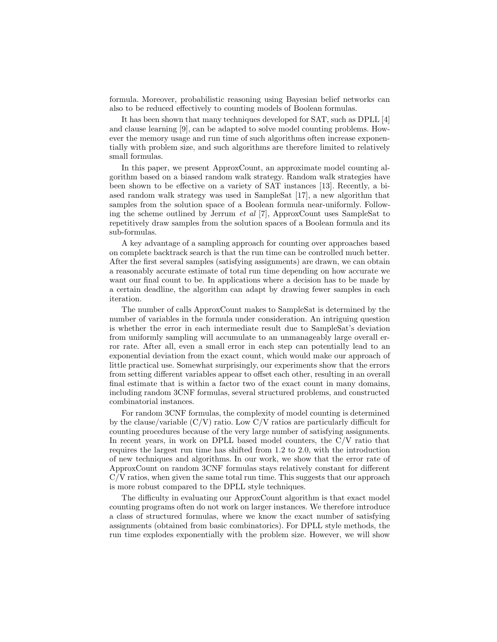formula. Moreover, probabilistic reasoning using Bayesian belief networks can also to be reduced effectively to counting models of Boolean formulas.

It has been shown that many techniques developed for SAT, such as DPLL [4] and clause learning [9], can be adapted to solve model counting problems. However the memory usage and run time of such algorithms often increase exponentially with problem size, and such algorithms are therefore limited to relatively small formulas.

In this paper, we present ApproxCount, an approximate model counting algorithm based on a biased random walk strategy. Random walk strategies have been shown to be effective on a variety of SAT instances [13]. Recently, a biased random walk strategy was used in SampleSat [17], a new algorithm that samples from the solution space of a Boolean formula near-uniformly. Following the scheme outlined by Jerrum et al [7], ApproxCount uses SampleSat to repetitively draw samples from the solution spaces of a Boolean formula and its sub-formulas.

A key advantage of a sampling approach for counting over approaches based on complete backtrack search is that the run time can be controlled much better. After the first several samples (satisfying assignments) are drawn, we can obtain a reasonably accurate estimate of total run time depending on how accurate we want our final count to be. In applications where a decision has to be made by a certain deadline, the algorithm can adapt by drawing fewer samples in each iteration.

The number of calls ApproxCount makes to SampleSat is determined by the number of variables in the formula under consideration. An intriguing question is whether the error in each intermediate result due to SampleSat's deviation from uniformly sampling will accumulate to an unmanageably large overall error rate. After all, even a small error in each step can potentially lead to an exponential deviation from the exact count, which would make our approach of little practical use. Somewhat surprisingly, our experiments show that the errors from setting different variables appear to offset each other, resulting in an overall final estimate that is within a factor two of the exact count in many domains, including random 3CNF formulas, several structured problems, and constructed combinatorial instances.

For random 3CNF formulas, the complexity of model counting is determined by the clause/variable  $(C/V)$  ratio. Low  $C/V$  ratios are particularly difficult for counting procedures because of the very large number of satisfying assignments. In recent years, in work on DPLL based model counters, the C/V ratio that requires the largest run time has shifted from 1.2 to 2.0, with the introduction of new techniques and algorithms. In our work, we show that the error rate of ApproxCount on random 3CNF formulas stays relatively constant for different C/V ratios, when given the same total run time. This suggests that our approach is more robust compared to the DPLL style techniques.

The difficulty in evaluating our ApproxCount algorithm is that exact model counting programs often do not work on larger instances. We therefore introduce a class of structured formulas, where we know the exact number of satisfying assignments (obtained from basic combinatorics). For DPLL style methods, the run time explodes exponentially with the problem size. However, we will show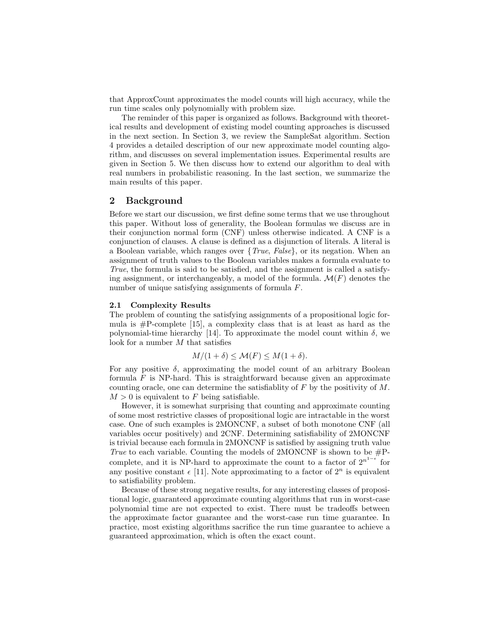that ApproxCount approximates the model counts will high accuracy, while the run time scales only polynomially with problem size.

The reminder of this paper is organized as follows. Background with theoretical results and development of existing model counting approaches is discussed in the next section. In Section 3, we review the SampleSat algorithm. Section 4 provides a detailed description of our new approximate model counting algorithm, and discusses on several implementation issues. Experimental results are given in Section 5. We then discuss how to extend our algorithm to deal with real numbers in probabilistic reasoning. In the last section, we summarize the main results of this paper.

## **2 Background**

Before we start our discussion, we first define some terms that we use throughout this paper. Without loss of generality, the Boolean formulas we discuss are in their conjunction normal form (CNF) unless otherwise indicated. A CNF is a conjunction of clauses. A clause is defined as a disjunction of literals. A literal is a Boolean variable, which ranges over  $\{True, False\}$ , or its negation. When an assignment of truth values to the Boolean variables makes a formula evaluate to True, the formula is said to be satisfied, and the assignment is called a satisfying assignment, or interchangeably, a model of the formula.  $\mathcal{M}(F)$  denotes the number of unique satisfying assignments of formula F.

#### **2.1 Complexity Results**

The problem of counting the satisfying assignments of a propositional logic formula is #P-complete [15], a complexity class that is at least as hard as the polynomial-time hierarchy [14]. To approximate the model count within  $\delta$ , we look for a number M that satisfies

$$
M/(1+\delta) \le \mathcal{M}(F) \le M(1+\delta).
$$

For any positive  $\delta$ , approximating the model count of an arbitrary Boolean formula  $F$  is NP-hard. This is straightforward because given an approximate counting oracle, one can determine the satisfiablity of  $F$  by the positivity of  $M$ .  $M > 0$  is equivalent to F being satisfiable.

However, it is somewhat surprising that counting and approximate counting of some most restrictive classes of propositional logic are intractable in the worst case. One of such examples is 2MONCNF, a subset of both monotone CNF (all variables occur positively) and 2CNF. Determining satisfiability of 2MONCNF is trivial because each formula in 2MONCNF is satisfied by assigning truth value True to each variable. Counting the models of 2MONCNF is shown to be  $\#P$ complete, and it is NP-hard to approximate the count to a factor of  $2^{n^{1-\epsilon}}$  for any positive constant  $\epsilon$  [11]. Note approximating to a factor of  $2^n$  is equivalent to satisfiability problem.

Because of these strong negative results, for any interesting classes of propositional logic, guaranteed approximate counting algorithms that run in worst-case polynomial time are not expected to exist. There must be tradeoffs between the approximate factor guarantee and the worst-case run time guarantee. In practice, most existing algorithms sacrifice the run time guarantee to achieve a guaranteed approximation, which is often the exact count.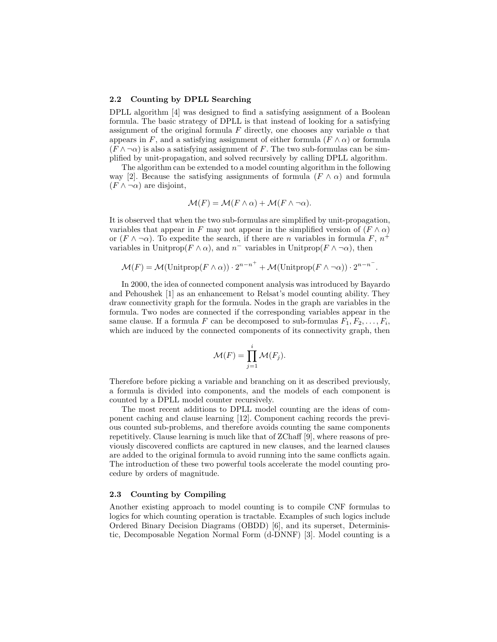#### **2.2 Counting by DPLL Searching**

DPLL algorithm [4] was designed to find a satisfying assignment of a Boolean formula. The basic strategy of DPLL is that instead of looking for a satisfying assignment of the original formula F directly, one chooses any variable  $\alpha$  that appears in F, and a satisfying assignment of either formula  $(F \wedge \alpha)$  or formula  $(F \wedge \neg \alpha)$  is also a satisfying assignment of F. The two sub-formulas can be simplified by unit-propagation, and solved recursively by calling DPLL algorithm.

The algorithm can be extended to a model counting algorithm in the following way [2]. Because the satisfying assignments of formula  $(F \wedge \alpha)$  and formula  $(F \wedge \neg \alpha)$  are disjoint,

$$
\mathcal{M}(F) = \mathcal{M}(F \wedge \alpha) + \mathcal{M}(F \wedge \neg \alpha).
$$

It is observed that when the two sub-formulas are simplified by unit-propagation, variables that appear in F may not appear in the simplified version of  $(F \wedge \alpha)$ or  $(F \wedge \neg \alpha)$ . To expedite the search, if there are *n* variables in formula F,  $n^+$ variables in Unitprop $(F \wedge \alpha)$ , and  $n^-$  variables in Unitprop $(F \wedge \neg \alpha)$ , then

$$
\mathcal{M}(F) = \mathcal{M}(\text{Uniform}(F \wedge \alpha)) \cdot 2^{n-n^+} + \mathcal{M}(\text{Uniform}(F \wedge \neg \alpha)) \cdot 2^{n-n^-}
$$

.

In 2000, the idea of connected component analysis was introduced by Bayardo and Pehoushek [1] as an enhancement to Relsat's model counting ability. They draw connectivity graph for the formula. Nodes in the graph are variables in the formula. Two nodes are connected if the corresponding variables appear in the same clause. If a formula F can be decomposed to sub-formulas  $F_1, F_2, \ldots, F_i$ , which are induced by the connected components of its connectivity graph, then

$$
\mathcal{M}(F) = \prod_{j=1}^i \mathcal{M}(F_j).
$$

Therefore before picking a variable and branching on it as described previously, a formula is divided into components, and the models of each component is counted by a DPLL model counter recursively.

The most recent additions to DPLL model counting are the ideas of component caching and clause learning [12]. Component caching records the previous counted sub-problems, and therefore avoids counting the same components repetitively. Clause learning is much like that of ZChaff [9], where reasons of previously discovered conflicts are captured in new clauses, and the learned clauses are added to the original formula to avoid running into the same conflicts again. The introduction of these two powerful tools accelerate the model counting procedure by orders of magnitude.

#### **2.3 Counting by Compiling**

Another existing approach to model counting is to compile CNF formulas to logics for which counting operation is tractable. Examples of such logics include Ordered Binary Decision Diagrams (OBDD) [6], and its superset, Deterministic, Decomposable Negation Normal Form (d-DNNF) [3]. Model counting is a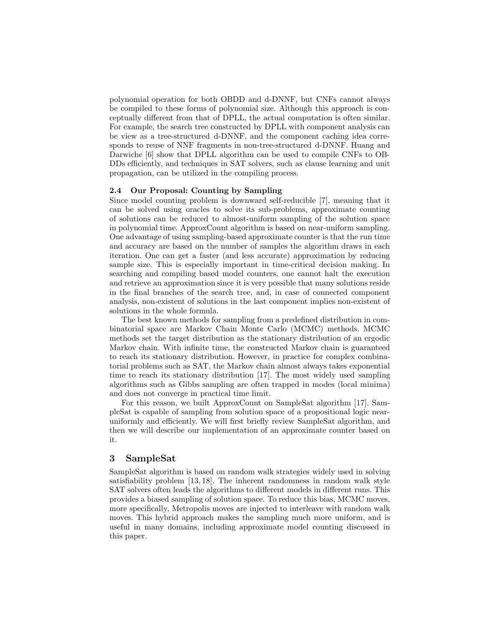polynomial operation for both OBDD and d-DNNF, but CNFs cannot always be compiled to these forms of polynomial size. Although this approach is conceptually different from that of DPLL, the actual computation is often similar. For example, the search tree constructed by DPLL with component analysis can be view as a tree-structured d-DNNF, and the component caching idea corresponds to reuse of NNF fragments in non-tree-structured d-DNNF. Huang and Darwiche [6] show that DPLL algorithm can be used to compile CNFs to OB-DDs efficiently, and techniques in SAT solvers, such as clause learning and unit propagation, can be utilized in the compiling process.

### **2.4 Our Proposal: Counting by Sampling**

Since model counting problem is downward self-reducible [7], meaning that it can be solved using oracles to solve its sub-problems, approximate counting of solutions can be reduced to almost-uniform sampling of the solution space in polynomial time. ApproxCount algorithm is based on near-uniform sampling. One advantage of using sampling-based approximate counter is that the run time and accuracy are based on the number of samples the algorithm draws in each iteration. One can get a faster (and less accurate) approximation by reducing sample size. This is especially important in time-critical decision making. In searching and compiling based model counters, one cannot halt the execution and retrieve an approximation since it is very possible that many solutions reside in the final branches of the search tree, and, in case of connected component analysis, non-existent of solutions in the last component implies non-existent of solutions in the whole formula.

The best known methods for sampling from a predefined distribution in combinatorial space are Markov Chain Monte Carlo (MCMC) methods. MCMC methods set the target distribution as the stationary distribution of an ergodic Markov chain. With infinite time, the constructed Markov chain is guaranteed to reach its stationary distribution. However, in practice for complex combinatorial problems such as SAT, the Markov chain almost always takes exponential time to reach its stationary distribution [17]. The most widely used sampling algorithms such as Gibbs sampling are often trapped in modes (local minima) and does not converge in practical time limit.

For this reason, we built ApproxCount on SampleSat algorithm [17]. SampleSat is capable of sampling from solution space of a propositional logic nearuniformly and efficiently. We will first briefly review SampleSat algorithm, and then we will describe our implementation of an approximate counter based on it.

### **3 SampleSat**

SampleSat algorithm is based on random walk strategies widely used in solving satisfiability problem [13, 18]. The inherent randomness in random walk style SAT solvers often leads the algorithms to different models in different runs. This provides a biased sampling of solution space. To reduce this bias, MCMC moves, more specifically, Metropolis moves are injected to interleave with random walk moves. This hybrid approach makes the sampling much more uniform, and is useful in many domains, including approximate model counting discussed in this paper.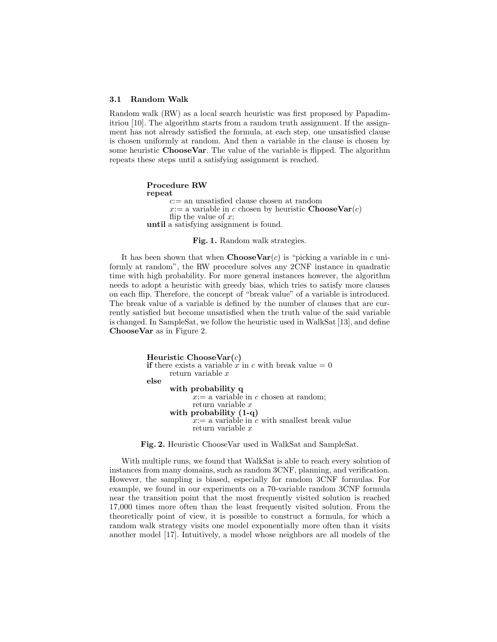#### **3.1 Random Walk**

Random walk (RW) as a local search heuristic was first proposed by Papadimitriou [10]. The algorithm starts from a random truth assignment. If the assignment has not already satisfied the formula, at each step, one unsatisfied clause is chosen uniformly at random. And then a variable in the clause is chosen by some heuristic **ChooseVar**. The value of the variable is flipped. The algorithm repeats these steps until a satisfying assignment is reached.

> **Procedure RW repeat**  $c:=$  an unsatisfied clause chosen at random  $x:$  a variable in c chosen by heuristic **ChooseVar**(c) flip the value of  $x$ : **until** a satisfying assignment is found.

> > **Fig. 1.** Random walk strategies.

It has been shown that when  $ChooseVar(c)$  is "picking a variable in c uniformly at random", the RW procedure solves any 2CNF instance in quadratic time with high probability. For more general instances however, the algorithm needs to adopt a heuristic with greedy bias, which tries to satisfy more clauses on each flip. Therefore, the concept of "break value" of a variable is introduced. The break value of a variable is defined by the number of clauses that are currently satisfied but become unsatisfied when the truth value of the said variable is changed. In SampleSat, we follow the heuristic used in WalkSat [13], and define **ChooseVar** as in Figure 2.

```
Heuristic ChooseVar(c)
if there exists a variable x in c with break value = 0return variable x
else
      with probability q
            x:= a variable in c chosen at random;
            return variable x
      with probability (1-q)
            x:= a variable in c with smallest break value
            return variable x
```
**Fig. 2.** Heuristic ChooseVar used in WalkSat and SampleSat.

With multiple runs, we found that WalkSat is able to reach every solution of instances from many domains, such as random 3CNF, planning, and verification. However, the sampling is biased, especially for random 3CNF formulas. For example, we found in our experiments on a 70-variable random 3CNF formula near the transition point that the most frequently visited solution is reached 17,000 times more often than the least frequently visited solution. From the theoretically point of view, it is possible to construct a formula, for which a random walk strategy visits one model exponentially more often than it visits another model [17]. Intuitively, a model whose neighbors are all models of the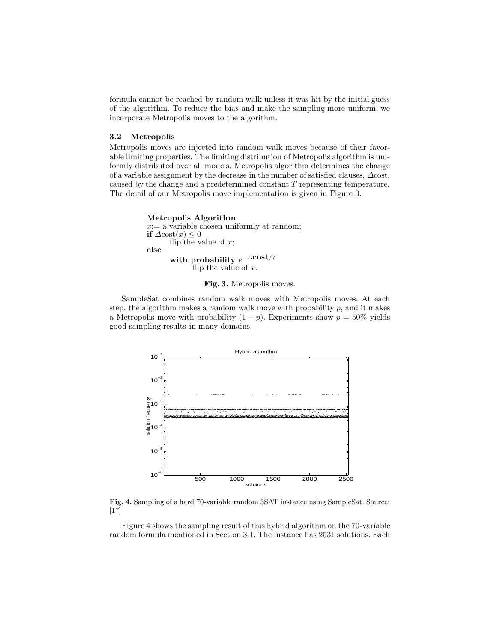formula cannot be reached by random walk unless it was hit by the initial guess of the algorithm. To reduce the bias and make the sampling more uniform, we incorporate Metropolis moves to the algorithm.

#### **3.2 Metropolis**

Metropolis moves are injected into random walk moves because of their favorable limiting properties. The limiting distribution of Metropolis algorithm is uniformly distributed over all models. Metropolis algorithm determines the change of a variable assignment by the decrease in the number of satisfied clauses,  $\Delta \text{cost}$ , caused by the change and a predetermined constant T representing temperature. The detail of our Metropolis move implementation is given in Figure 3.

#### **Metropolis Algorithm**  $x:=$  a variable chosen uniformly at random; **if**  $\Delta$ cost $(x) \leq 0$ flip the value of  $x$ ; **else with probability** e<sup>−</sup>∆**cost**/T flip the value of  $x$ .

**Fig. 3.** Metropolis moves.

SampleSat combines random walk moves with Metropolis moves. At each step, the algorithm makes a random walk move with probability  $p$ , and it makes a Metropolis move with probability  $(1 - p)$ . Experiments show  $p = 50\%$  yields good sampling results in many domains.



**Fig. 4.** Sampling of a hard 70-variable random 3SAT instance using SampleSat. Source: [17]

Figure 4 shows the sampling result of this hybrid algorithm on the 70-variable random formula mentioned in Section 3.1. The instance has 2531 solutions. Each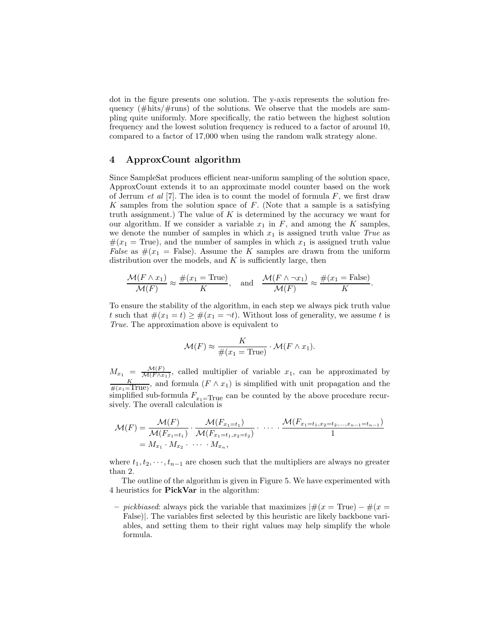dot in the figure presents one solution. The y-axis represents the solution frequency ( $\#$ hits/ $\#$ runs) of the solutions. We observe that the models are sampling quite uniformly. More specifically, the ratio between the highest solution frequency and the lowest solution frequency is reduced to a factor of around 10, compared to a factor of 17,000 when using the random walk strategy alone.

### **4 ApproxCount algorithm**

Since SampleSat produces efficient near-uniform sampling of the solution space, ApproxCount extends it to an approximate model counter based on the work of Jerrum et al  $[7]$ . The idea is to count the model of formula F, we first draw K samples from the solution space of  $F$ . (Note that a sample is a satisfying truth assignment.) The value of  $K$  is determined by the accuracy we want for our algorithm. If we consider a variable  $x_1$  in F, and among the K samples, we denote the number of samples in which  $x_1$  is assigned truth value True as  $#(x_1 = True)$ , and the number of samples in which  $x_1$  is assigned truth value *False* as  $\#(x_1 = \text{False})$ . Assume the K samples are drawn from the uniform distribution over the models, and  $K$  is sufficiently large, then

$$
\frac{\mathcal{M}(F \wedge x_1)}{\mathcal{M}(F)} \approx \frac{\#(x_1 = \text{True})}{K}, \text{ and } \frac{\mathcal{M}(F \wedge \neg x_1)}{\mathcal{M}(F)} \approx \frac{\#(x_1 = \text{False})}{K}.
$$

To ensure the stability of the algorithm, in each step we always pick truth value t such that  $\#(x_1 = t) \geq \#(x_1 = \neg t)$ . Without loss of generality, we assume t is True. The approximation above is equivalent to

$$
\mathcal{M}(F) \approx \frac{K}{\#(x_1 = \text{True})} \cdot \mathcal{M}(F \wedge x_1).
$$

 $M_{x_1} = \frac{\mathcal{M}(F)}{\mathcal{M}(F \wedge x_1)}$ , called multiplier of variable  $x_1$ , can be approximated by  $\frac{K}{\#(x_1 = \text{True})}$ , and formula  $(F \wedge x_1)$  is simplified with unit propagation and the simplified sub-formula  $F_{x_1=}$  True can be counted by the above procedure recursively. The overall calculation is

$$
\mathcal{M}(F) = \frac{\mathcal{M}(F)}{\mathcal{M}(F_{x_1=t_1})} \cdot \frac{\mathcal{M}(F_{x_1=t_1})}{\mathcal{M}(F_{x_1=t_1,x_2=t_2})} \cdot \dots \cdot \frac{\mathcal{M}(F_{x_1=t_1,x_2=t_2,\dots,x_{n-1}=t_{n-1}})}{1}
$$
  
=  $M_{x_1} \cdot M_{x_2} \cdot \dots \cdot M_{x_n}$ ,

where  $t_1, t_2, \dots, t_{n-1}$  are chosen such that the multipliers are always no greater than 2.

The outline of the algorithm is given in Figure 5. We have experimented with 4 heuristics for **PickVar** in the algorithm:

 $– pickbiased: always pick the variable that maximizes |#(x = True) - #(x = True)$ False)|. The variables first selected by this heuristic are likely backbone variables, and setting them to their right values may help simplify the whole formula.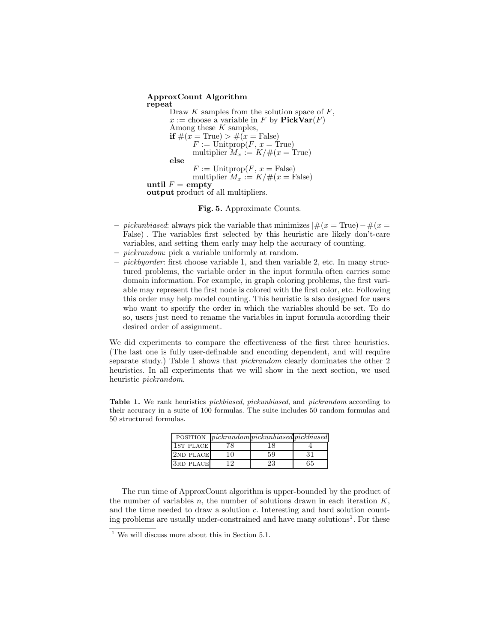**ApproxCount Algorithm repeat** Draw  $K$  samples from the solution space of  $F$ ,  $x :=$  choose a variable in F by  $\text{PickVar}(F)$ <br>Among these K samples, **if**  $\#(x = \text{True}) > \#(x = \text{False})$  $F :=$  Unitprop $(F, x =$  True) multiplier  $M_x := K/\#(x = \text{True})$ **else**  $F :=$  Unitprop $(F, x =$ False) multiplier  $M_x := K/\#(x = \text{False})$ **until**  $F =$ **empty output** product of all multipliers.

**Fig. 5.** Approximate Counts.

- **–** pickunbiased: always pick the variable that minimizes |#(x = True)−#(x = False)|. The variables first selected by this heuristic are likely don't-care variables, and setting them early may help the accuracy of counting.
- **–** pickrandom: pick a variable uniformly at random.
- **–** pickbyorder: first choose variable 1, and then variable 2, etc. In many structured problems, the variable order in the input formula often carries some domain information. For example, in graph coloring problems, the first variable may represent the first node is colored with the first color, etc. Following this order may help model counting. This heuristic is also designed for users who want to specify the order in which the variables should be set. To do so, users just need to rename the variables in input formula according their desired order of assignment.

We did experiments to compare the effectiveness of the first three heuristics. (The last one is fully user-definable and encoding dependent, and will require separate study.) Table 1 shows that *pickrandom* clearly dominates the other 2 heuristics. In all experiments that we will show in the next section, we used heuristic pickrandom.

**Table 1.** We rank heuristics *pickbiased*, *pickunbiased*, and *pickrandom* according to their accuracy in a suite of 100 formulas. The suite includes 50 random formulas and 50 structured formulas.

|           | POSITION pickrandom pickunbiased pickbiased |  |
|-----------|---------------------------------------------|--|
| 1ST PLACE | 18                                          |  |
| 2ND PLACE | 59                                          |  |
| 3RD PLACE | 23                                          |  |

The run time of ApproxCount algorithm is upper-bounded by the product of the number of variables n, the number of solutions drawn in each iteration  $K$ , and the time needed to draw a solution c. Interesting and hard solution counting problems are usually under-constrained and have many solutions<sup>1</sup>. For these

 $^{\rm 1}$  We will discuss more about this in Section 5.1.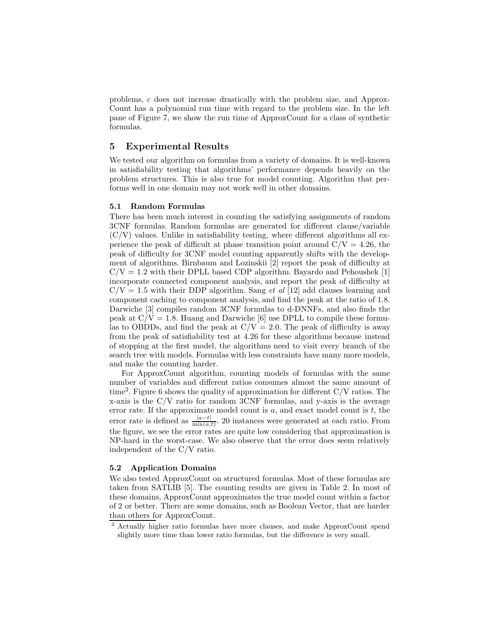problems, c does not increase drastically with the problem size, and Approx-Count has a polynomial run time with regard to the problem size. In the left pane of Figure 7, we show the run time of ApproxCount for a class of synthetic formulas.

# **5 Experimental Results**

We tested our algorithm on formulas from a variety of domains. It is well-known in satisfiability testing that algorithms' performance depends heavily on the problem structures. This is also true for model counting. Algorithm that performs well in one domain may not work well in other domains.

#### **5.1 Random Formulas**

There has been much interest in counting the satisfying assignments of random 3CNF formulas. Random formulas are generated for different clause/variable  $(C/V)$  values. Unlike in satisfiability testing, where different algorithms all experience the peak of difficult at phase transition point around  $C/V = 4.26$ , the peak of difficulty for 3CNF model counting apparently shifts with the development of algorithms. Birnbaum and Lozinskii [2] report the peak of difficulty at  $C/V = 1.2$  with their DPLL based CDP algorithm. Bayardo and Pehoushek [1] incorporate connected component analysis, and report the peak of difficulty at  $C/V = 1.5$  with their DDP algorithm. Sang *et al* [12] add clauses learning and component caching to component analysis, and find the peak at the ratio of 1.8. Darwiche [3] compiles random 3CNF formulas to d-DNNFs, and also finds the peak at  $C/V = 1.8$ . Huang and Darwiche [6] use DPLL to compile these formulas to OBDDs, and find the peak at  $C/V = 2.0$ . The peak of difficulty is away from the peak of satisfiability test at 4.26 for these algorithms because instead of stopping at the first model, the algorithms need to visit every branch of the search tree with models. Formulas with less constraints have many more models, and make the counting harder.

For ApproxCount algorithm, counting models of formulas with the same number of variables and different ratios consumes almost the same amount of time<sup>2</sup>. Figure 6 shows the quality of approximation for different  $C/V$  ratios. The x-axis is the C/V ratio for random 3CNF formulas, and y-axis is the average error rate. If the approximate model count is  $a$ , and exact model count is  $t$ , the error rate is defined as  $\frac{|a-t|}{\min(a,t)}$ . 20 instances were generated at each ratio. From the figure, we see the error rates are quite low considering that approximation is NP-hard in the worst-case. We also observe that the error does seem relatively independent of the C/V ratio.

### **5.2 Application Domains**

We also tested ApproxCount on structured formulas. Most of these formulas are taken from SATLIB [5]. The counting results are given in Table 2. In most of these domains, ApproxCount approximates the true model count within a factor of 2 or better. There are some domains, such as Boolean Vector, that are harder than others for ApproxCount.

<sup>2</sup> Actually higher ratio formulas have more clauses, and make ApproxCount spend slightly more time than lower ratio formulas, but the difference is very small.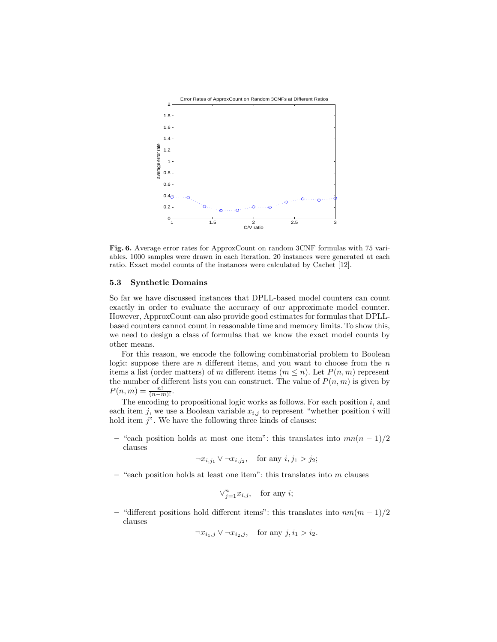

**Fig. 6.** Average error rates for ApproxCount on random 3CNF formulas with 75 variables. 1000 samples were drawn in each iteration. 20 instances were generated at each ratio. Exact model counts of the instances were calculated by Cachet [12].

#### **5.3 Synthetic Domains**

So far we have discussed instances that DPLL-based model counters can count exactly in order to evaluate the accuracy of our approximate model counter. However, ApproxCount can also provide good estimates for formulas that DPLLbased counters cannot count in reasonable time and memory limits. To show this, we need to design a class of formulas that we know the exact model counts by other means.

For this reason, we encode the following combinatorial problem to Boolean logic: suppose there are n different items, and you want to choose from the  $n$ items a list (order matters) of m different items  $(m \leq n)$ . Let  $P(n, m)$  represent the number of different lists you can construct. The value of  $P(n, m)$  is given by  $P(n, m) = \frac{n!}{(n-m)!}.$ 

The encoding to propositional logic works as follows. For each position  $i$ , and each item j, we use a Boolean variable  $x_{i,j}$  to represent "whether position i will hold item  $j$ ". We have the following three kinds of clauses:

**–** "each position holds at most one item": this translates into mn(n − 1)/2 clauses

$$
\neg x_{i,j_1} \lor \neg x_{i,j_2}, \quad \text{for any } i, j_1 > j_2;
$$

**–** "each position holds at least one item": this translates into m clauses

$$
\vee_{j=1}^{n} x_{i,j}, \quad \text{for any } i;
$$

<sup>•</sup> different positions hold different items": this translates into  $nm(m-1)/2$ clauses

$$
\neg x_{i_1,j} \lor \neg x_{i_2,j}, \quad \text{for any } j, i_1 > i_2.
$$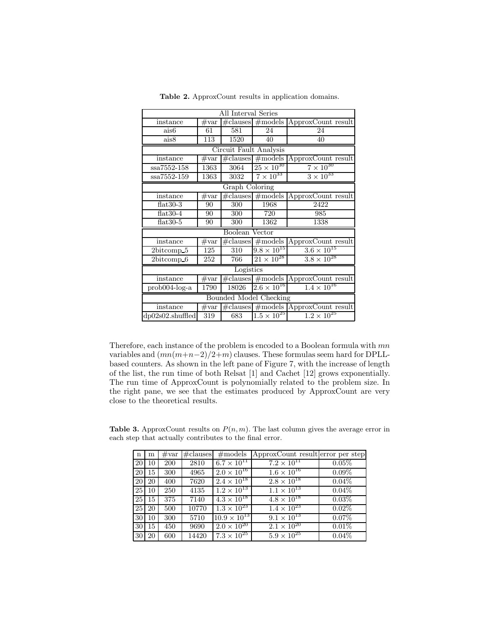| All Interval Series      |                |                    |                                      |                                             |  |  |  |  |
|--------------------------|----------------|--------------------|--------------------------------------|---------------------------------------------|--|--|--|--|
| instance                 | $\#\text{var}$ |                    | $\#$ clauses $\#$ models             | ApproxCount result                          |  |  |  |  |
| ais6                     | 61             | 581                | 24                                   | 24                                          |  |  |  |  |
| ais8                     | 113            | 1520               | 40                                   | 40                                          |  |  |  |  |
| Circuit Fault Analysis   |                |                    |                                      |                                             |  |  |  |  |
| instance                 | $\#\text{var}$ | $\#$ clauses       | $\#$ models                          | ApproxCount result                          |  |  |  |  |
| ssa7552-158              | 1363           | 3064               | $25 \times 10^{30}$                  | $7 \times 10^{30}$                          |  |  |  |  |
| ssa7552-159              | 1363           | 3032               | $7\times10^{33}$                     | $3 \times 10^{33}$                          |  |  |  |  |
| Graph Coloring           |                |                    |                                      |                                             |  |  |  |  |
| instance                 | #var           | $\#$ clauses       | $\#$ models                          | ApproxCount result                          |  |  |  |  |
| $flat30-3$               | 90             | 300                | 1968                                 | 2422                                        |  |  |  |  |
| $flat30-4$               | 90             | 300                | 720                                  | 985                                         |  |  |  |  |
| $flat30-5$               | 90             | 300                | 1362                                 | 1338                                        |  |  |  |  |
| <b>Boolean</b><br>Vector |                |                    |                                      |                                             |  |  |  |  |
| instance                 | $\#\text{var}$ | $\#\text{clauses}$ | #models                              | ApproxCount result                          |  |  |  |  |
| $2bitcomp_5$             | 125            | 310                | $9.8 \times 10^{15}$                 | $3.6 \times 10^{15}$                        |  |  |  |  |
| $2bitcomp_6$             | 252            | 766                | $21 \times 10^{28}$                  | $3.8 \times 10^{28}$                        |  |  |  |  |
| Logistics                |                |                    |                                      |                                             |  |  |  |  |
| instance                 | $\#\text{var}$ |                    | $\#\text{clauses}$ $\#\text{models}$ | ApproxCount result                          |  |  |  |  |
| $prob004 - log-a$        | 1790           | 18026              | $2.6 \times 10^{16}$                 | $1.4 \times 10^{16}$                        |  |  |  |  |
| Bounded Model Checking   |                |                    |                                      |                                             |  |  |  |  |
| instance                 | $\#\text{var}$ |                    |                                      | $\#$ clauses $\#$ models ApproxCount result |  |  |  |  |
| $dp02s02$ .shuffled      | 319            | 683                | $1.5 \times 10^{25}$                 | $1.2 \times 10^{25}$                        |  |  |  |  |

**Table 2.** ApproxCount results in application domains.

Therefore, each instance of the problem is encoded to a Boolean formula with mn variables and  $(mn(m+n-2)/2+m)$  clauses. These formulas seem hard for DPLLbased counters. As shown in the left pane of Figure 7, with the increase of length of the list, the run time of both Relsat [1] and Cachet [12] grows exponentially. The run time of ApproxCount is polynomially related to the problem size. In the right pane, we see that the estimates produced by ApproxCount are very close to the theoretical results.

**Table 3.** ApproxCount results on  $P(n, m)$ . The last column gives the average error in each step that actually contributes to the final error.

| n               | m             | $\#\text{var}$ | $\#$ clauses | $\#\text{models}$     | ApproxCount result error per step |          |
|-----------------|---------------|----------------|--------------|-----------------------|-----------------------------------|----------|
| <b>20</b>       | 10            | 200            | 2810         | $6.7 \times 10^{11}$  | $7.2 \times 10^{11}$              | 0.05%    |
| <b>20</b>       | 15            | 300            | 4965         | $2.0 \times 10^{16}$  | $1.6 \times 10^{16}$              | $0.09\%$ |
| 20 <sup>1</sup> | -20           | 400            | 7620         | $2.4 \times 10^{18}$  | $2.8 \times 10^{18}$              | 0.04%    |
| 25 <sub>1</sub> | -10           | 250            | 4135         | $1.2 \times 10^{13}$  | $1.1 \times 10^{13}$              | 0.04%    |
| 25 <sup>1</sup> | <sup>15</sup> | 375            | 7140         | $4.3 \times 10^{18}$  | $4.8 \times 10^{18}$              | 0.03%    |
| 25 <sub>1</sub> | -20           | 500            | 10770        | $1.3 \times 10^{23}$  | $1.4 \times 10^{23}$              | 0.02%    |
|                 | $30\vert 10$  | 300            | 5710         | $10.9 \times 10^{13}$ | $9.1 \times 10^{13}$              | 0.07%    |
| 30 <sup>1</sup> | 15            | 450            | 9690         | $2.0 \times 10^{20}$  | $2.1 \times 10^{20}$              | 0.01%    |
|                 | $30\vert 20$  | 600            | 14420        | $7.3 \times 10^{25}$  | $5.9 \times 10^{25}$              | $0.04\%$ |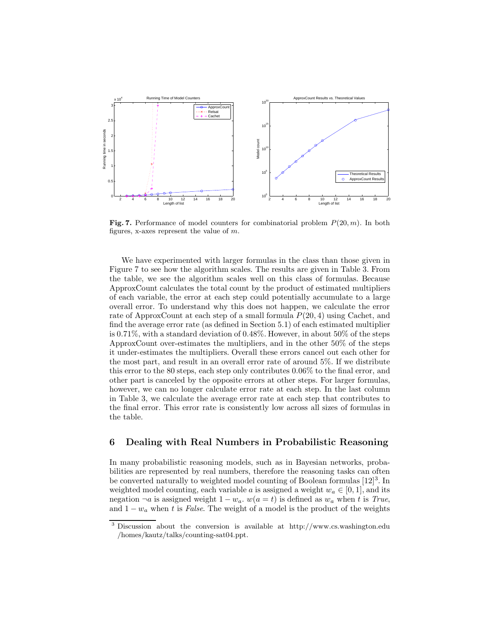

**Fig. 7.** Performance of model counters for combinatorial problem  $P(20, m)$ . In both figures, x-axes represent the value of  $m$ .

We have experimented with larger formulas in the class than those given in Figure 7 to see how the algorithm scales. The results are given in Table 3. From the table, we see the algorithm scales well on this class of formulas. Because ApproxCount calculates the total count by the product of estimated multipliers of each variable, the error at each step could potentially accumulate to a large overall error. To understand why this does not happen, we calculate the error rate of ApproxCount at each step of a small formula  $P(20, 4)$  using Cachet, and find the average error rate (as defined in Section 5.1) of each estimated multiplier is 0.71%, with a standard deviation of 0.48%. However, in about 50% of the steps ApproxCount over-estimates the multipliers, and in the other 50% of the steps it under-estimates the multipliers. Overall these errors cancel out each other for the most part, and result in an overall error rate of around 5%. If we distribute this error to the 80 steps, each step only contributes 0.06% to the final error, and other part is canceled by the opposite errors at other steps. For larger formulas, however, we can no longer calculate error rate at each step. In the last column in Table 3, we calculate the average error rate at each step that contributes to the final error. This error rate is consistently low across all sizes of formulas in the table.

# **6 Dealing with Real Numbers in Probabilistic Reasoning**

In many probabilistic reasoning models, such as in Bayesian networks, probabilities are represented by real numbers, therefore the reasoning tasks can often be converted naturally to weighted model counting of Boolean formulas [12]<sup>3</sup>. In weighted model counting, each variable a is assigned a weight  $w_a \in [0, 1]$ , and its negation  $\neg a$  is assigned weight  $1 - w_a$ .  $w(a = t)$  is defined as  $w_a$  when t is True, and  $1 - w_a$  when t is False. The weight of a model is the product of the weights

<sup>3</sup> Discussion about the conversion is available at http://www.cs.washington.edu /homes/kautz/talks/counting-sat04.ppt.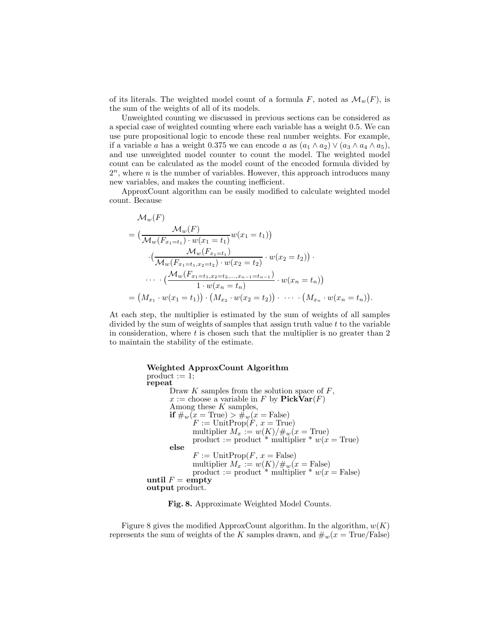of its literals. The weighted model count of a formula F, noted as  $\mathcal{M}_w(F)$ , is the sum of the weights of all of its models.

Unweighted counting we discussed in previous sections can be considered as a special case of weighted counting where each variable has a weight 0.5. We can use pure propositional logic to encode these real number weights. For example, if a variable a has a weight 0.375 we can encode a as  $(a_1 \wedge a_2) \vee (a_3 \wedge a_4 \wedge a_5)$ , and use unweighted model counter to count the model. The weighted model count can be calculated as the model count of the encoded formula divided by  $2<sup>n</sup>$ , where *n* is the number of variables. However, this approach introduces many new variables, and makes the counting inefficient.

ApproxCount algorithm can be easily modified to calculate weighted model count. Because

$$
\mathcal{M}_w(F)
$$
\n
$$
= \left( \frac{\mathcal{M}_w(F)}{\mathcal{M}_w(F_{x_1=t_1}) \cdot w(x_1=t_1)} w(x_1=t_1) \right)
$$
\n
$$
\cdot \left( \frac{\mathcal{M}_w(F_{x_1=t_1})}{\mathcal{M}_w(F_{x_1=t_1,x_2=t_2}) \cdot w(x_2=t_2)} \cdot w(x_2=t_2) \right) \cdot \dots \cdot \left( \frac{\mathcal{M}_w(F_{x_1=t_1,x_2=t_2,\dots,x_{n-1}=t_{n-1}})}{1 \cdot w(x_n=t_n)} \cdot w(x_n=t_n) \right)
$$
\n
$$
= \left( M_{x_1} \cdot w(x_1=t_1) \right) \cdot \left( M_{x_2} \cdot w(x_2=t_2) \right) \cdot \dots \cdot \left( M_{x_n} \cdot w(x_n=t_n) \right).
$$

At each step, the multiplier is estimated by the sum of weights of all samples divided by the sum of weights of samples that assign truth value  $t$  to the variable in consideration, where  $t$  is chosen such that the multiplier is no greater than  $2$ to maintain the stability of the estimate.

```
Weighted ApproxCount Algorithm
product := 1;
repeat
       Draw K samples from the solution space of F,
      x := choose a variable in F by \text{PickVar}(F)Among these K samples,
       if \#_w(x = \text{True}) > \#_w(x = \text{False})F := \text{UnitProp}(F, x = \text{True})multiplier M_x := w(K)/\#_w(x = \text{True})product := product * multiplier * w(x) = True)
      else
              F := \text{UnitProp}(F, x = \text{False})multiplier M_x := w(K)/\#_w(x = \text{False})product := product * multiplier * w(x = False)until F =empty
output product.
```
**Fig. 8.** Approximate Weighted Model Counts.

Figure 8 gives the modified ApproxCount algorithm. In the algorithm,  $w(K)$ represents the sum of weights of the K samples drawn, and  $\#_w(x) = \text{True}/\text{False}$